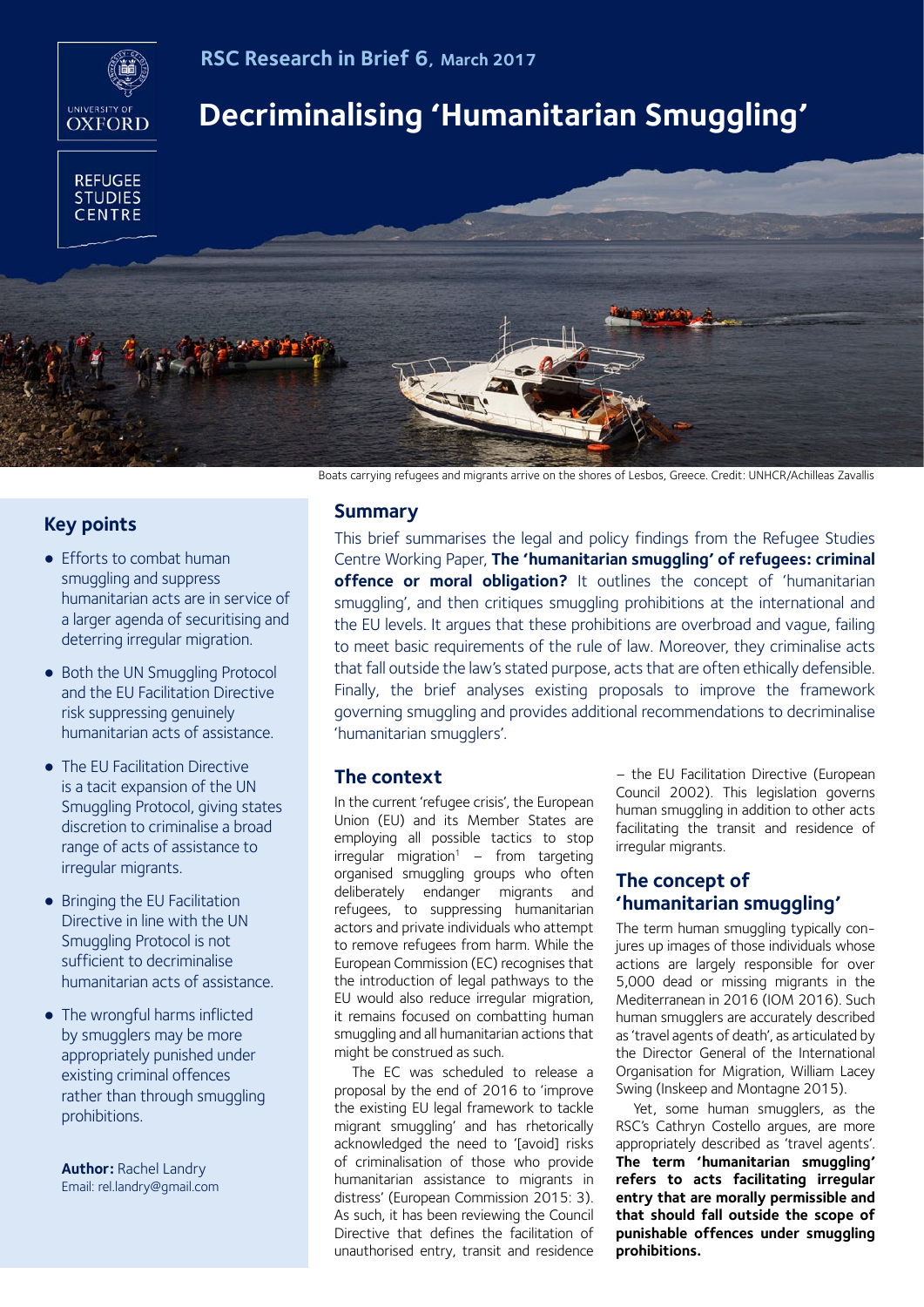

**RSC Research in Brief 6, March 2017**

# **Decriminalising 'Humanitarian Smuggling'**



# **Key points**

- Efforts to combat human smuggling and suppress humanitarian acts are in service of a larger agenda of securitising and deterring irregular migration.
- Both the UN Smuggling Protocol and the EU Facilitation Directive risk suppressing genuinely humanitarian acts of assistance.
- The EU Facilitation Directive is a tacit expansion of the UN Smuggling Protocol, giving states discretion to criminalise a broad range of acts of assistance to irregular migrants.
- Bringing the EU Facilitation Directive in line with the UN Smuggling Protocol is not sufficient to decriminalise humanitarian acts of assistance.
- The wrongful harms inflicted by smugglers may be more appropriately punished under existing criminal offences rather than through smuggling prohibitions.

**Author:** Rachel Landry Email: rel.landry@gmail.com

Boats carrying refugees and migrants arrive on the shores of Lesbos, Greece. Credit: UNHCR/Achilleas Zavallis

## **Summary**

This brief summarises the legal and policy findings from the Refugee Studies Centre Working Paper, **The 'humanitarian smuggling' of refugees: criminal offence or moral obligation?** It outlines the concept of 'humanitarian smuggling', and then critiques smuggling prohibitions at the international and the EU levels. It argues that these prohibitions are overbroad and vague, failing to meet basic requirements of the rule of law. Moreover, they criminalise acts that fall outside the law's stated purpose, acts that are often ethically defensible. Finally, the brief analyses existing proposals to improve the framework governing smuggling and provides additional recommendations to decriminalise 'humanitarian smugglers'.

# **The context**

In the current 'refugee crisis', the European Union (EU) and its Member States are employing all possible tactics to stop  $irregular migration<sup>1</sup> - from targeting$ organised smuggling groups who often deliberately endanger migrants and refugees, to suppressing humanitarian actors and private individuals who attempt to remove refugees from harm. While the European Commission (EC) recognises that the introduction of legal pathways to the EU would also reduce irregular migration, it remains focused on combatting human smuggling and all humanitarian actions that might be construed as such.

The EC was scheduled to release a proposal by the end of 2016 to 'improve the existing EU legal framework to tackle migrant smuggling' and has rhetorically acknowledged the need to '[avoid] risks of criminalisation of those who provide humanitarian assistance to migrants in distress' (European Commission 2015: 3). As such, it has been reviewing the Council Directive that defines the facilitation of unauthorised entry, transit and residence

– the EU Facilitation Directive (European Council 2002). This legislation governs human smuggling in addition to other acts facilitating the transit and residence of irregular migrants.

# **The concept of 'humanitarian smuggling'**

The term human smuggling typically conjures up images of those individuals whose actions are largely responsible for over 5,000 dead or missing migrants in the Mediterranean in 2016 (IOM 2016). Such human smugglers are accurately described as 'travel agents of death', as articulated by the Director General of the International Organisation for Migration, William Lacey Swing (Inskeep and Montagne 2015).

Yet, some human smugglers, as the RSC's Cathryn Costello argues, are more appropriately described as 'travel agents'. **The term 'humanitarian smuggling' refers to acts facilitating irregular entry that are morally permissible and that should fall outside the scope of punishable offences under smuggling prohibitions.**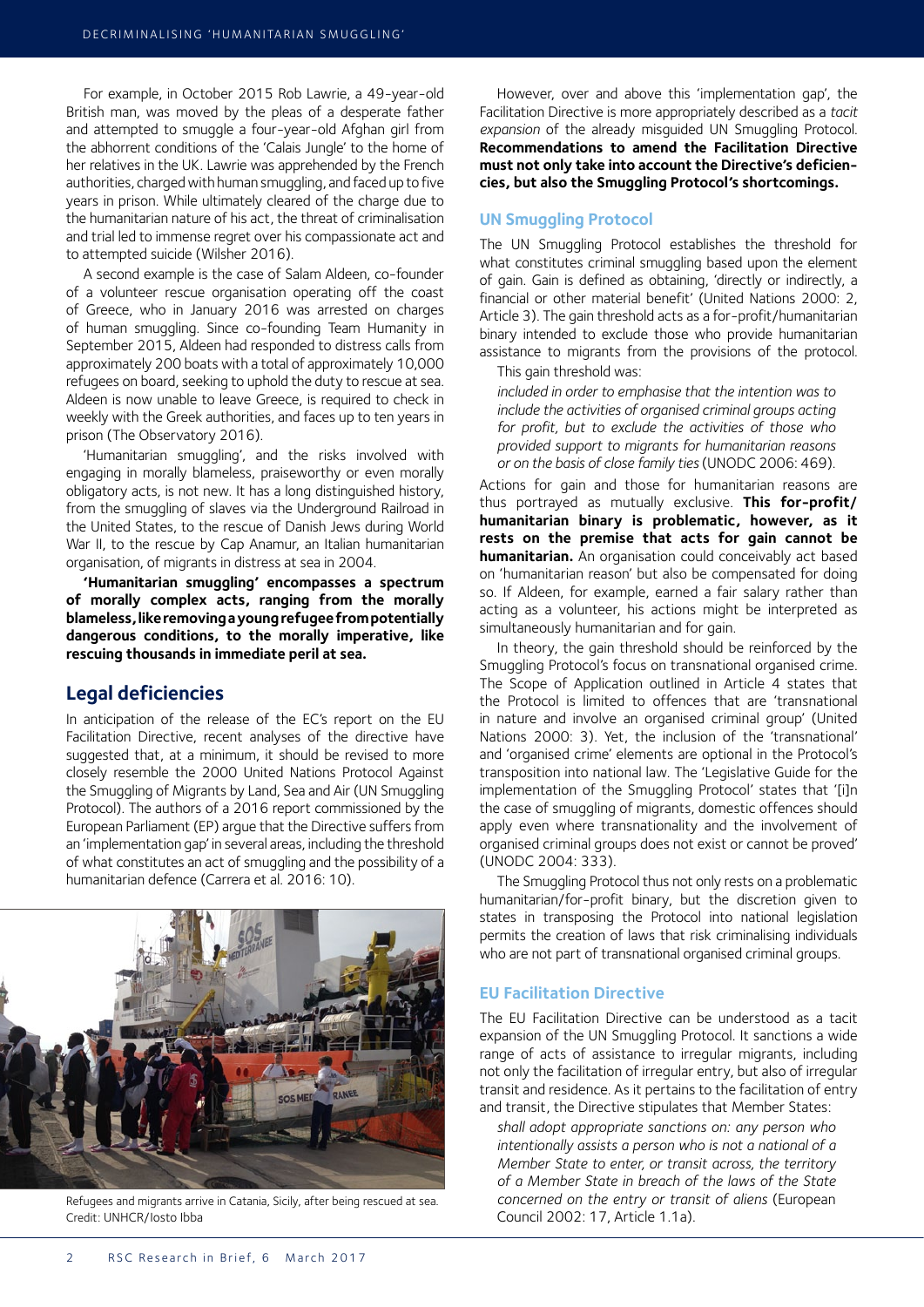For example, in October 2015 Rob Lawrie, a 49-year-old British man, was moved by the pleas of a desperate father and attempted to smuggle a four-year-old Afghan girl from the abhorrent conditions of the 'Calais Jungle' to the home of her relatives in the UK. Lawrie was apprehended by the French authorities, charged with human smuggling, and faced up to five years in prison. While ultimately cleared of the charge due to the humanitarian nature of his act, the threat of criminalisation and trial led to immense regret over his compassionate act and to attempted suicide (Wilsher 2016).

A second example is the case of Salam Aldeen, co-founder of a volunteer rescue organisation operating off the coast of Greece, who in January 2016 was arrested on charges of human smuggling. Since co-founding Team Humanity in September 2015, Aldeen had responded to distress calls from approximately 200 boats with a total of approximately 10,000 refugees on board, seeking to uphold the duty to rescue at sea. Aldeen is now unable to leave Greece, is required to check in weekly with the Greek authorities, and faces up to ten years in prison (The Observatory 2016).

'Humanitarian smuggling', and the risks involved with engaging in morally blameless, praiseworthy or even morally obligatory acts, is not new. It has a long distinguished history, from the smuggling of slaves via the Underground Railroad in the United States, to the rescue of Danish Jews during World War II, to the rescue by Cap Anamur, an Italian humanitarian organisation, of migrants in distress at sea in 2004.

**'Humanitarian smuggling' encompasses a spectrum of morally complex acts, ranging from the morally blameless, like removing a young refugee from potentially dangerous conditions, to the morally imperative, like rescuing thousands in immediate peril at sea.**

## **Legal deficiencies**

In anticipation of the release of the EC's report on the EU Facilitation Directive, recent analyses of the directive have suggested that, at a minimum, it should be revised to more closely resemble the 2000 United Nations Protocol Against the Smuggling of Migrants by Land, Sea and Air (UN Smuggling Protocol). The authors of a 2016 report commissioned by the European Parliament (EP) argue that the Directive suffers from an 'implementation gap' in several areas, including the threshold of what constitutes an act of smuggling and the possibility of a humanitarian defence (Carrera et al. 2016: 10).



Refugees and migrants arrive in Catania, Sicily, after being rescued at sea. Credit: UNHCR/Iosto Ibba

However, over and above this 'implementation gap', the Facilitation Directive is more appropriately described as a *tacit expansion* of the already misguided UN Smuggling Protocol. **Recommendations to amend the Facilitation Directive must not only take into account the Directive's deficiencies, but also the Smuggling Protocol's shortcomings.**

#### **UN Smuggling Protocol**

The UN Smuggling Protocol establishes the threshold for what constitutes criminal smuggling based upon the element of gain. Gain is defined as obtaining, 'directly or indirectly, a financial or other material benefit' (United Nations 2000: 2, Article 3). The gain threshold acts as a for-profit/humanitarian binary intended to exclude those who provide humanitarian assistance to migrants from the provisions of the protocol.

This gain threshold was:

*included in order to emphasise that the intention was to include the activities of organised criminal groups acting for profit, but to exclude the activities of those who provided support to migrants for humanitarian reasons or on the basis of close family ties* (UNODC 2006: 469).

Actions for gain and those for humanitarian reasons are thus portrayed as mutually exclusive. **This for-profit/ humanitarian binary is problematic, however, as it rests on the premise that acts for gain cannot be humanitarian.** An organisation could conceivably act based on 'humanitarian reason' but also be compensated for doing so. If Aldeen, for example, earned a fair salary rather than acting as a volunteer, his actions might be interpreted as simultaneously humanitarian and for gain.

In theory, the gain threshold should be reinforced by the Smuggling Protocol's focus on transnational organised crime. The Scope of Application outlined in Article 4 states that the Protocol is limited to offences that are 'transnational in nature and involve an organised criminal group' (United Nations 2000: 3). Yet, the inclusion of the 'transnational' and 'organised crime' elements are optional in the Protocol's transposition into national law. The 'Legislative Guide for the implementation of the Smuggling Protocol' states that '[i]n the case of smuggling of migrants, domestic offences should apply even where transnationality and the involvement of organised criminal groups does not exist or cannot be proved' (UNODC 2004: 333).

The Smuggling Protocol thus not only rests on a problematic humanitarian/for-profit binary, but the discretion given to states in transposing the Protocol into national legislation permits the creation of laws that risk criminalising individuals who are not part of transnational organised criminal groups.

### **EU Facilitation Directive**

The EU Facilitation Directive can be understood as a tacit expansion of the UN Smuggling Protocol. It sanctions a wide range of acts of assistance to irregular migrants, including not only the facilitation of irregular entry, but also of irregular transit and residence. As it pertains to the facilitation of entry and transit, the Directive stipulates that Member States:

*shall adopt appropriate sanctions on: any person who intentionally assists a person who is not a national of a Member State to enter, or transit across, the territory of a Member State in breach of the laws of the State concerned on the entry or transit of aliens* (European Council 2002: 17, Article 1.1a).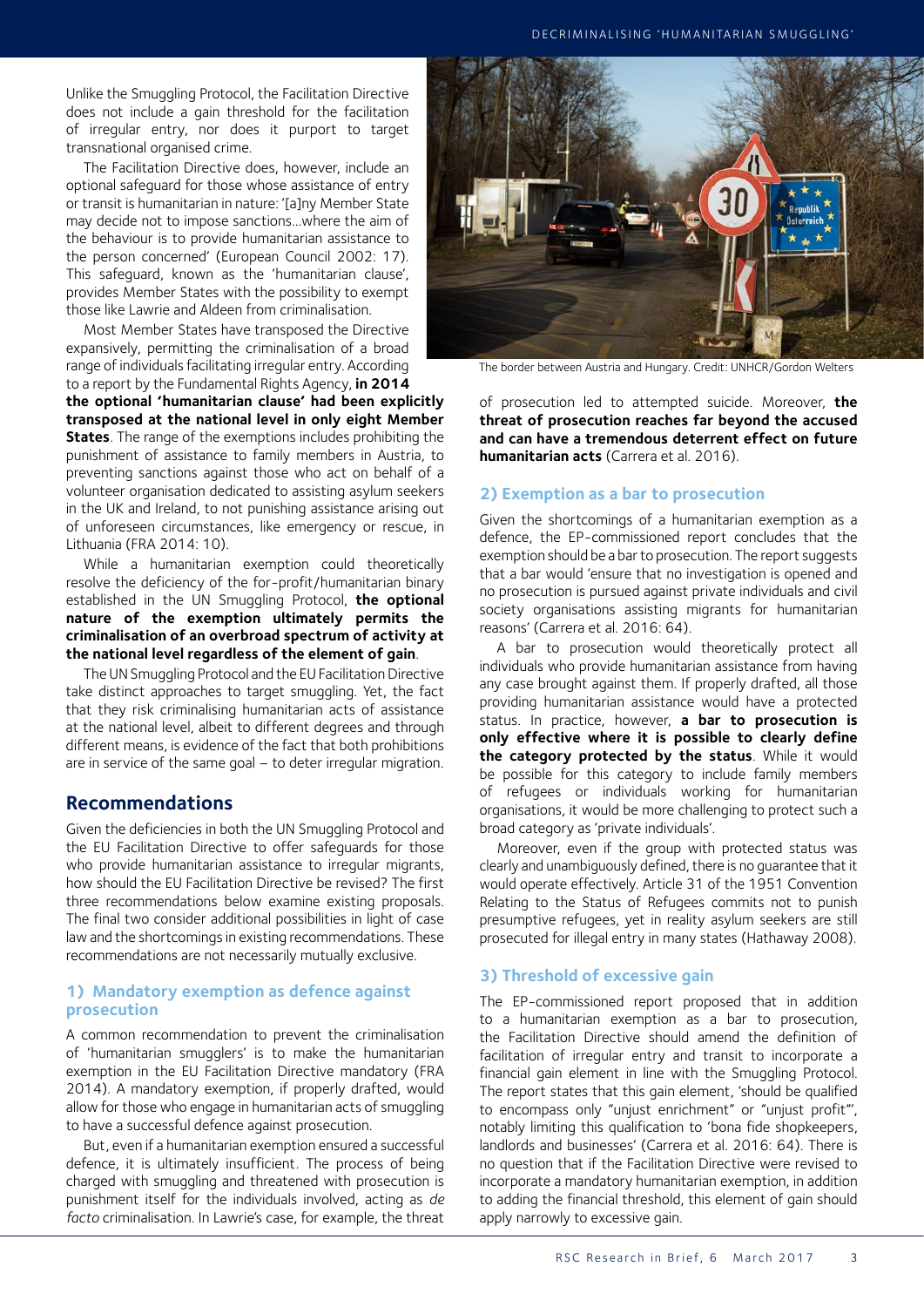Unlike the Smuggling Protocol, the Facilitation Directive does not include a gain threshold for the facilitation of irregular entry, nor does it purport to target transnational organised crime.

The Facilitation Directive does, however, include an optional safeguard for those whose assistance of entry or transit is humanitarian in nature: '[a]ny Member State may decide not to impose sanctions…where the aim of the behaviour is to provide humanitarian assistance to the person concerned' (European Council 2002: 17). This safeguard, known as the 'humanitarian clause', provides Member States with the possibility to exempt those like Lawrie and Aldeen from criminalisation.

Most Member States have transposed the Directive expansively, permitting the criminalisation of a broad range of individuals facilitating irregular entry. According to a report by the Fundamental Rights Agency, **in 2014** 

**the optional 'humanitarian clause' had been explicitly transposed at the national level in only eight Member States**. The range of the exemptions includes prohibiting the punishment of assistance to family members in Austria, to preventing sanctions against those who act on behalf of a volunteer organisation dedicated to assisting asylum seekers in the UK and Ireland, to not punishing assistance arising out of unforeseen circumstances, like emergency or rescue, in Lithuania (FRA 2014: 10).

While a humanitarian exemption could theoretically resolve the deficiency of the for-profit/humanitarian binary established in the UN Smuggling Protocol, **the optional nature of the exemption ultimately permits the criminalisation of an overbroad spectrum of activity at the national level regardless of the element of gain**.

The UN Smuggling Protocol and the EU Facilitation Directive take distinct approaches to target smuggling. Yet, the fact that they risk criminalising humanitarian acts of assistance at the national level, albeit to different degrees and through different means, is evidence of the fact that both prohibitions are in service of the same goal – to deter irregular migration.

## **Recommendations**

Given the deficiencies in both the UN Smuggling Protocol and the EU Facilitation Directive to offer safeguards for those who provide humanitarian assistance to irregular migrants, how should the EU Facilitation Directive be revised? The first three recommendations below examine existing proposals. The final two consider additional possibilities in light of case law and the shortcomings in existing recommendations. These recommendations are not necessarily mutually exclusive.

## **1) Mandatory exemption as defence against prosecution**

A common recommendation to prevent the criminalisation of 'humanitarian smugglers' is to make the humanitarian exemption in the EU Facilitation Directive mandatory (FRA 2014). A mandatory exemption, if properly drafted, would allow for those who engage in humanitarian acts of smuggling to have a successful defence against prosecution.

But, even if a humanitarian exemption ensured a successful defence, it is ultimately insufficient. The process of being charged with smuggling and threatened with prosecution is punishment itself for the individuals involved, acting as *de facto* criminalisation. In Lawrie's case, for example, the threat



The border between Austria and Hungary. Credit: UNHCR/Gordon Welters

of prosecution led to attempted suicide. Moreover, **the threat of prosecution reaches far beyond the accused and can have a tremendous deterrent effect on future humanitarian acts** (Carrera et al. 2016).

### **2) Exemption as a bar to prosecution**

Given the shortcomings of a humanitarian exemption as a defence, the EP-commissioned report concludes that the exemption should be a bar to prosecution. The report suggests that a bar would 'ensure that no investigation is opened and no prosecution is pursued against private individuals and civil society organisations assisting migrants for humanitarian reasons' (Carrera et al. 2016: 64).

A bar to prosecution would theoretically protect all individuals who provide humanitarian assistance from having any case brought against them. If properly drafted, all those providing humanitarian assistance would have a protected status. In practice, however, **a bar to prosecution is only effective where it is possible to clearly define the category protected by the status**. While it would be possible for this category to include family members of refugees or individuals working for humanitarian organisations, it would be more challenging to protect such a broad category as 'private individuals'.

Moreover, even if the group with protected status was clearly and unambiguously defined, there is no guarantee that it would operate effectively. Article 31 of the 1951 Convention Relating to the Status of Refugees commits not to punish presumptive refugees, yet in reality asylum seekers are still prosecuted for illegal entry in many states (Hathaway 2008).

## **3) Threshold of excessive gain**

The EP-commissioned report proposed that in addition to a humanitarian exemption as a bar to prosecution, the Facilitation Directive should amend the definition of facilitation of irregular entry and transit to incorporate a financial gain element in line with the Smuggling Protocol. The report states that this gain element, 'should be qualified to encompass only "unjust enrichment" or "unjust profit"', notably limiting this qualification to 'bona fide shopkeepers, landlords and businesses' (Carrera et al. 2016: 64). There is no question that if the Facilitation Directive were revised to incorporate a mandatory humanitarian exemption, in addition to adding the financial threshold, this element of gain should apply narrowly to excessive gain.